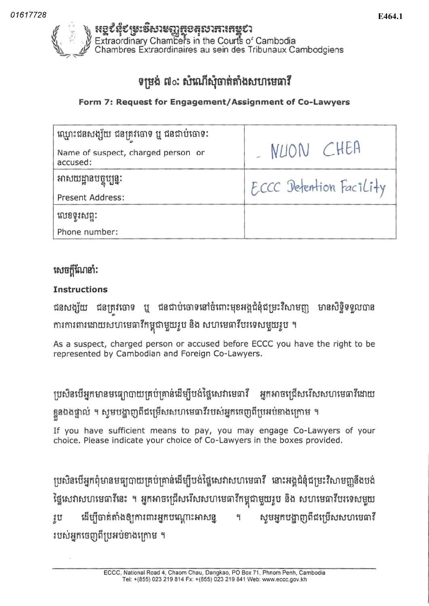

# ទម្រង់ ៧ $\circ$ ៈ សំណើសុំចាត់តាំងសហមេធាវី

Form 7: Request for Engagement/Assignment of Co-Lawyers

| ឈ្មោះជនសង្ស័យ ជនត្រូវចោទ ឬ ជនជាប់ចោទ:          |                         |  |
|------------------------------------------------|-------------------------|--|
| Name of suspect, charged person or<br>accused: | NUON CHEA               |  |
| អាសយដ្ឋានបច្ចុប្បន្នៈ                          | ECCC Detention Facility |  |
| Present Address:                               |                         |  |
| លេខទូរសព្ទ:                                    |                         |  |
| Phone number:                                  |                         |  |

### សេចក្តីណែនាំ:

### Instructions

ជនសង្ស័យ ជនត្រវចោទ ឬ ជនជាប់ចោទនៅចំពោះមុខអង្គជំនុំជម្រះវិសាមញ្ញ មានសិទ្ធិទទួលបាន ការការពារដោយសហមេធាវកម្ពុជាមួយរូប នង សហមេធាវបរទេសមួយរូប

As a suspect, charged person or accused before ECCC you have the right to be represented by Cambodian and Foreign Co-Lawyers.

|ប្រសិនបើអ្នកមានមធ្យោបាយគ្រប់គ្រាន់ដើម្បីបង់ថ្លៃសេវាមេធាវី អ្នកអាចជ្រើសរើសសហមេធាវីដោយ ខ្លួនឯងផ្ទាល់ ។ សូមបង្ហាញពីជម្រើសសហមេធាវីរបស់អ្នកចេញពីប្រអប់ខាងក្រោម

If you have sufficient means to pay, you may engage Co-Lawyers of your choice. Please indicate your choice of Co-Lawyers in the boxes provided.

ាបសិនបើអ្នកពុំមានមធ្យូបាយគ្រប់គ្រាន់ដើម្បីបង់ថ្លៃសេវាសហមេធាវី នោះអង្គជំនុំជម្រះវិសាមញ្ញនឹងបង់ ផ្ទេសេវាសហមេធាវនេះ ។ អ្នកអាចជ្រេសរេសសហមេធាវកម្ពុជាមួយរូប នង សហមេធាវបរទេសមួយ ដើម្បីចាត់តាំងឲ្យការពារអ្នកបណ្តោះអាសន្ន ។ *សូ*មអ្នកបង្ហាញពីជម្រើសសហមេធាវី វប របស់អ្នកចេញពីប្រអប់ខាងក្រោម ។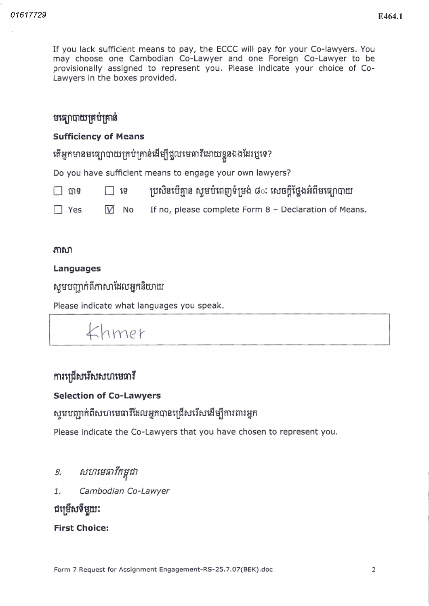If you lack sufficient means to pay, the ECCC will pay for your Co-lawyers. You may choose one Cambodian Co-Lawyer and one Foreign Co-Lawyer to be provisionally assigned to represent you. Please indicate your choice of Co-Lawyers in the boxes provided

### មធ្យោបាយគ្រប់គ្រាន់

#### Sufficiency of Means

តើអ្នកមានមធ្យោបាយគ្រប់គ្រាន់ដើម្បីជួលមេធាវីដោយខ្លួនឯងដែរឬទេ?

Do you have sufficient means to engage your own lawyers

| □ បាទ      | $\Box$ ig | ប្រសិនបើគ្មាន ស្ទូមបំពេញទំម្រង់ ៨ៈ សេចក្តីថ្លែងអំពីមធ្យោបាយ |
|------------|-----------|-------------------------------------------------------------|
| $\Box$ Yes | V No      | If no, please complete Form 8 - Declaration of Means.       |

#### $m$

#### Languages

សូមបញ្ជាក់ពីភាសាដែលអ្នកនិយាយ

Please indicate what languages you speak

# $K$ hmer

### $m$ រព្រើសរើសសហមេធាវី

#### Selection of Co-Lawyers

# ស្ទមបញ្ជាក់ពីសហមេធាវីដែលអ្នកបានជ្រើសរើសដើម្បីការពារអ្នក

Please indicate the Co-Lawyers that you have chosen to represent you.

- សហមេធាវីកម្ពុជា 9.
- $1.$ Cambodian Co-Lawyer

ជម្រើសទីមួយ:

First Choice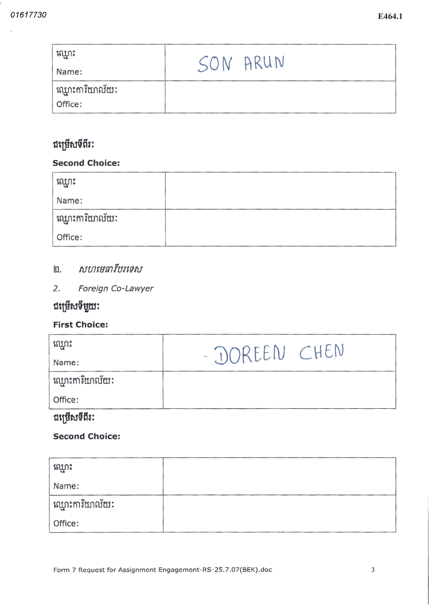| ឈ្មោះ            |          |  |
|------------------|----------|--|
| Name:            | SON ARUN |  |
| ់ឈ្មោះការិយាល័យៈ |          |  |
| Office:          |          |  |

### ជម្រើសទីពីរ:

### **Second Choice:**

| ឈ្មោះ            |  |
|------------------|--|
| Name:            |  |
| ់ឈ្មោះការិយាល័យ: |  |
| Office:          |  |

### ២. *សហមេធាវីបរទេស*

2. Foreign Co-Lawyer

## ជម្រើសទីមួយ:

### **First Choice:**

| ឈ្មោះ                        | - DOREEN CHEN |
|------------------------------|---------------|
| Name:                        |               |
| ឈ្មោះការិយាល័យៈ              |               |
| Office:                      |               |
| --<br>a and the state of the |               |

### ជម្រើសទីពីរ:

### **Second Choice:**

| ឈ្មោះ                    |  |
|--------------------------|--|
| Name:                    |  |
| ់ឈ្មោះការិយាល័យ <b>:</b> |  |
| Office:                  |  |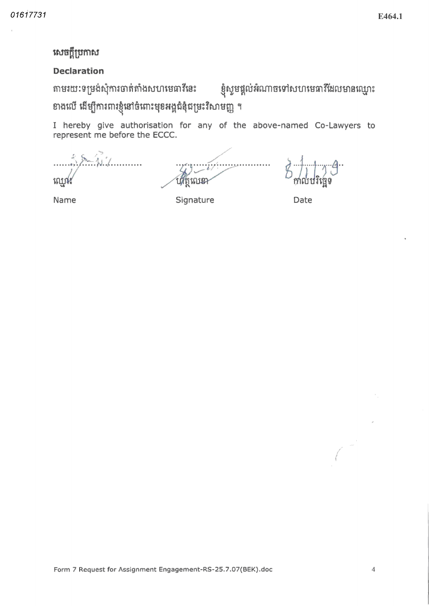### សេចក្តីប្រកាស

#### **Declaration**

តាមរយៈទម្រង់សុំការចាត់តាំងសហមេធាវីនេះ

ខ្ញុំសួមផ្តល់អំណាចទៅសហមេធាវីដែលមានឈ្មោះ

ខាងលើ ដើម្បីការពារខ្ញុំនៅចំពោះមុខអង្គជំនុំជម្រះវិសាមញ្ញ ។

I hereby give authorisation for any of the above-named Co-Lawyers to represent me before the ECCC.

ı ណ្ណោ የበ የወን

Name

Signature

Date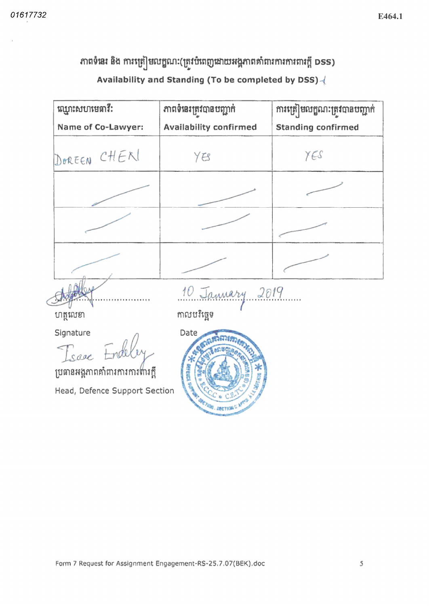#### E464.1

# ភាពទំនេះ និង ការត្រៀមលក្ខណៈ(ត្រូវបំពេញដោយអង្គភាពគាំពារការការពារក្តី DSS) Availability and Standing (To be completed by DSS)-

| ឈ្មោះសហមេធាវី:            | ភាពទំនេះត្រូវបានបញ្ជាក់       | ការត្រៀមលក្ខណៈត្រូវបានបញ្ជាក់ |
|---------------------------|-------------------------------|-------------------------------|
| Name of Co-Lawyer:        | <b>Availability confirmed</b> | <b>Standing confirmed</b>     |
| DOREEN CHEN               | YB                            | YES                           |
|                           |                               |                               |
|                           |                               |                               |
|                           |                               |                               |
|                           | 10 January 2019               |                               |
| ហត្ថលេខា                  | កាលបរិច្ឆេទ                   |                               |
| Signature<br>Isaac Endele | Date                          |                               |

ប្រធានអង្គភាពគាំពារការការហារក្តី

Head, Defence Support Section